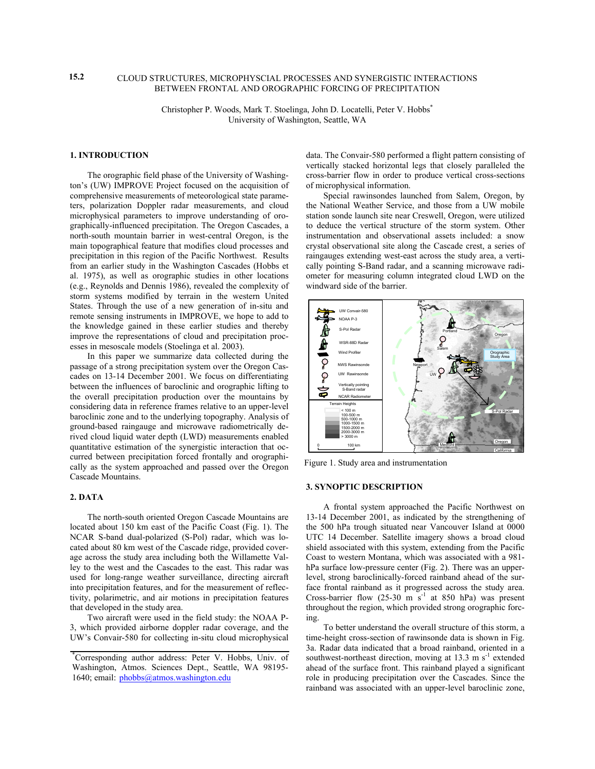### CLOUD STRUCTURES, MICROPHYSCIAL PROCESSES AND SYNERGISTIC INTERACTIONS BETWEEN FRONTAL AND OROGRAPHIC FORCING OF PRECIPITATION

Christopher P. Woods, Mark T. Stoelinga, John D. Locatelli, Peter V. Hobbs\* University of Washington, Seattle, WA

### **1. INTRODUCTION**

 The orographic field phase of the University of Washington's (UW) IMPROVE Project focused on the acquisition of comprehensive measurements of meteorological state parameters, polarization Doppler radar measurements, and cloud microphysical parameters to improve understanding of orographically-influenced precipitation. The Oregon Cascades, a north-south mountain barrier in west-central Oregon, is the main topographical feature that modifies cloud processes and precipitation in this region of the Pacific Northwest. Results from an earlier study in the Washington Cascades (Hobbs et al. 1975), as well as orographic studies in other locations (e.g., Reynolds and Dennis 1986), revealed the complexity of storm systems modified by terrain in the western United States. Through the use of a new generation of in-situ and remote sensing instruments in IMPROVE, we hope to add to the knowledge gained in these earlier studies and thereby improve the representations of cloud and precipitation processes in mesoscale models (Stoelinga et al. 2003).

 In this paper we summarize data collected during the passage of a strong precipitation system over the Oregon Cascades on 13-14 December 2001. We focus on differentiating between the influences of baroclinic and orographic lifting to the overall precipitation production over the mountains by considering data in reference frames relative to an upper-level baroclinic zone and to the underlying topography. Analysis of ground-based raingauge and microwave radiometrically derived cloud liquid water depth (LWD) measurements enabled quantitative estimation of the synergistic interaction that occurred between precipitation forced frontally and orographically as the system approached and passed over the Oregon Cascade Mountains.

# **2. DATA**

 The north-south oriented Oregon Cascade Mountains are located about 150 km east of the Pacific Coast (Fig. 1). The NCAR S-band dual-polarized (S-Pol) radar, which was located about 80 km west of the Cascade ridge, provided coverage across the study area including both the Willamette Valley to the west and the Cascades to the east. This radar was used for long-range weather surveillance, directing aircraft into precipitation features, and for the measurement of reflectivity, polarimetric, and air motions in precipitation features that developed in the study area.

 Two aircraft were used in the field study: the NOAA P-3, which provided airborne doppler radar coverage, and the UW's Convair-580 for collecting in-situ cloud microphysical data. The Convair-580 performed a flight pattern consisting of vertically stacked horizontal legs that closely paralleled the cross-barrier flow in order to produce vertical cross-sections of microphysical information.

 Special rawinsondes launched from Salem, Oregon, by the National Weather Service, and those from a UW mobile station sonde launch site near Creswell, Oregon, were utilized to deduce the vertical structure of the storm system. Other instrumentation and observational assets included: a snow crystal observational site along the Cascade crest, a series of raingauges extending west-east across the study area, a vertically pointing S-Band radar, and a scanning microwave radiometer for measuring column integrated cloud LWD on the windward side of the barrier.



Figure 1. Study area and instrumentation

#### **3. SYNOPTIC DESCRIPTION**

 A frontal system approached the Pacific Northwest on 13-14 December 2001, as indicated by the strengthening of the 500 hPa trough situated near Vancouver Island at 0000 UTC 14 December. Satellite imagery shows a broad cloud shield associated with this system, extending from the Pacific Coast to western Montana, which was associated with a 981 hPa surface low-pressure center (Fig. 2). There was an upperlevel, strong baroclinically-forced rainband ahead of the surface frontal rainband as it progressed across the study area. Cross-barrier flow  $(25-30 \text{ m s}^{-1}$  at 850 hPa) was present throughout the region, which provided strong orographic forcing.

 To better understand the overall structure of this storm, a time-height cross-section of rawinsonde data is shown in Fig. 3a. Radar data indicated that a broad rainband, oriented in a southwest-northeast direction, moving at  $13.3 \text{ m s}^{-1}$  extended ahead of the surface front. This rainband played a significant role in producing precipitation over the Cascades. Since the rainband was associated with an upper-level baroclinic zone,

**15.2** 

<sup>\*</sup> Corresponding author address: Peter V. Hobbs, Univ. of Washington, Atmos. Sciences Dept., Seattle, WA 98195- 1640; email: phobbs@atmos.washington.edu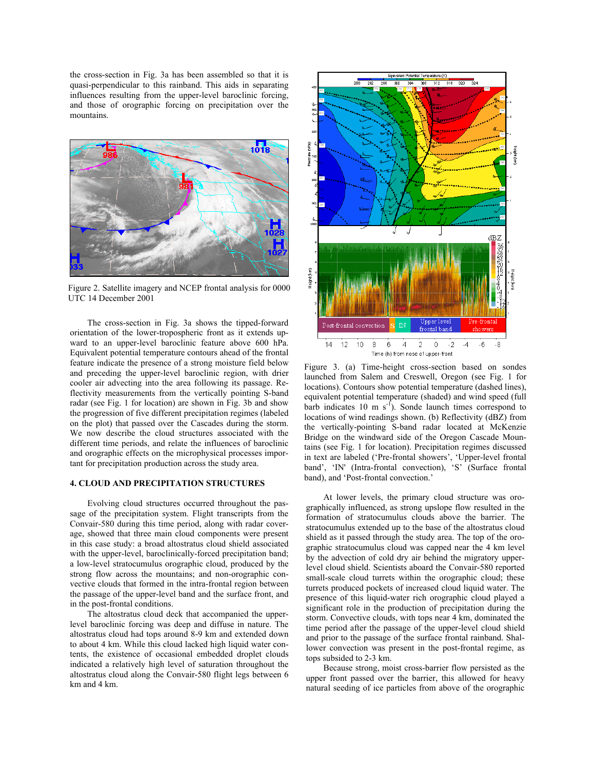the cross-section in Fig. 3a has been assembled so that it is quasi-perpendicular to this rainband. This aids in separating influences resulting from the upper-level baroclinic forcing, and those of orographic forcing on precipitation over the mountains.



Figure 2. Satellite imagery and NCEP frontal analysis for 0000 UTC 14 December 2001

 The cross-section in Fig. 3a shows the tipped-forward orientation of the lower-tropospheric front as it extends upward to an upper-level baroclinic feature above 600 hPa. Equivalent potential temperature contours ahead of the frontal feature indicate the presence of a strong moisture field below and preceding the upper-level baroclinic region, with drier cooler air advecting into the area following its passage. Reflectivity measurements from the vertically pointing S-band radar (see Fig. 1 for location) are shown in Fig. 3b and show the progression of five different precipitation regimes (labeled on the plot) that passed over the Cascades during the storm. We now describe the cloud structures associated with the different time periods, and relate the influences of baroclinic and orographic effects on the microphysical processes important for precipitation production across the study area.

#### **4. CLOUD AND PRECIPITATION STRUCTURES**

 Evolving cloud structures occurred throughout the passage of the precipitation system. Flight transcripts from the Convair-580 during this time period, along with radar coverage, showed that three main cloud components were present in this case study: a broad altostratus cloud shield associated with the upper-level, baroclinically-forced precipitation band; a low-level stratocumulus orographic cloud, produced by the strong flow across the mountains; and non-orographic convective clouds that formed in the intra-frontal region between the passage of the upper-level band and the surface front, and in the post-frontal conditions.

 The altostratus cloud deck that accompanied the upperlevel baroclinic forcing was deep and diffuse in nature. The altostratus cloud had tops around 8-9 km and extended down to about 4 km. While this cloud lacked high liquid water contents, the existence of occasional embedded droplet clouds indicated a relatively high level of saturation throughout the altostratus cloud along the Convair-580 flight legs between 6 km and 4 km.



 band), and 'Post-frontal convection.' Figure 3. (a) Time-height cross-section based on sondes launched from Salem and Creswell, Oregon (see Fig. 1 for locations). Contours show potential temperature (dashed lines), equivalent potential temperature (shaded) and wind speed (full barb indicates 10 m  $s^{-1}$ ). Sonde launch times correspond to locations of wind readings shown. (b) Reflectivity (dBZ) from the vertically-pointing S-band radar located at McKenzie Bridge on the windward side of the Oregon Cascade Mountains (see Fig. 1 for location). Precipitation regimes discussed in text are labeled ('Pre-frontal showers', 'Upper-level frontal band', 'IN' (Intra-frontal convection), 'S' (Surface frontal

 At lower levels, the primary cloud structure was orographically influenced, as strong upslope flow resulted in the formation of stratocumulus clouds above the barrier. The stratocumulus extended up to the base of the altostratus cloud shield as it passed through the study area. The top of the orographic stratocumulus cloud was capped near the 4 km level by the advection of cold dry air behind the migratory upperlevel cloud shield. Scientists aboard the Convair-580 reported small-scale cloud turrets within the orographic cloud; these turrets produced pockets of increased cloud liquid water. The presence of this liquid-water rich orographic cloud played a significant role in the production of precipitation during the storm. Convective clouds, with tops near 4 km, dominated the time period after the passage of the upper-level cloud shield and prior to the passage of the surface frontal rainband. Shallower convection was present in the post-frontal regime, as tops subsided to 2-3 km.

 Because strong, moist cross-barrier flow persisted as the upper front passed over the barrier, this allowed for heavy natural seeding of ice particles from above of the orographic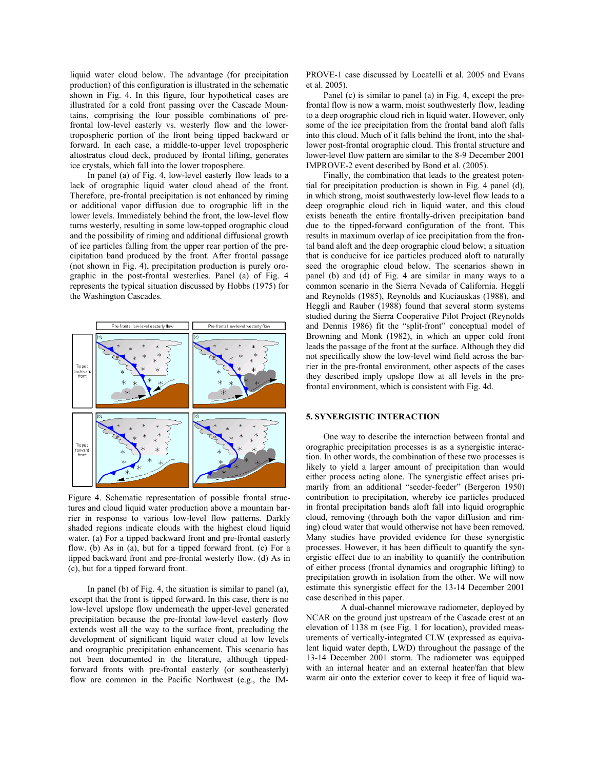liquid water cloud below. The advantage (for precipitation production) of this configuration is illustrated in the schematic shown in Fig. 4. In this figure, four hypothetical cases are illustrated for a cold front passing over the Cascade Mountains, comprising the four possible combinations of prefrontal low-level easterly vs. westerly flow and the lowertropospheric portion of the front being tipped backward or forward. In each case, a middle-to-upper level tropospheric altostratus cloud deck, produced by frontal lifting, generates ice crystals, which fall into the lower troposphere.

 In panel (a) of Fig. 4, low-level easterly flow leads to a lack of orographic liquid water cloud ahead of the front. Therefore, pre-frontal precipitation is not enhanced by riming or additional vapor diffusion due to orographic lift in the lower levels. Immediately behind the front, the low-level flow turns westerly, resulting in some low-topped orographic cloud and the possibility of riming and additional diffusional growth of ice particles falling from the upper rear portion of the precipitation band produced by the front. After frontal passage (not shown in Fig. 4), precipitation production is purely orographic in the post-frontal westerlies. Panel (a) of Fig. 4 represents the typical situation discussed by Hobbs (1975) for the Washington Cascades.



Figure 4. Schematic representation of possible frontal structures and cloud liquid water production above a mountain barrier in response to various low-level flow patterns. Darkly shaded regions indicate clouds with the highest cloud liquid water. (a) For a tipped backward front and pre-frontal easterly flow. (b) As in (a), but for a tipped forward front. (c) For a tipped backward front and pre-frontal westerly flow. (d) As in (c), but for a tipped forward front.

 In panel (b) of Fig. 4, the situation is similar to panel (a), except that the front is tipped forward. In this case, there is no low-level upslope flow underneath the upper-level generated precipitation because the pre-frontal low-level easterly flow extends west all the way to the surface front, precluding the development of significant liquid water cloud at low levels and orographic precipitation enhancement. This scenario has not been documented in the literature, although tippedforward fronts with pre-frontal easterly (or southeasterly) flow are common in the Pacific Northwest (e.g., the IM-

PROVE-1 case discussed by Locatelli et al. 2005 and Evans et al. 2005).

 Panel (c) is similar to panel (a) in Fig. 4, except the prefrontal flow is now a warm, moist southwesterly flow, leading to a deep orographic cloud rich in liquid water. However, only some of the ice precipitation from the frontal band aloft falls into this cloud. Much of it falls behind the front, into the shallower post-frontal orographic cloud. This frontal structure and lower-level flow pattern are similar to the 8-9 December 2001 IMPROVE-2 event described by Bond et al. (2005).

 Finally, the combination that leads to the greatest potential for precipitation production is shown in Fig. 4 panel (d), in which strong, moist southwesterly low-level flow leads to a deep orographic cloud rich in liquid water, and this cloud exists beneath the entire frontally-driven precipitation band due to the tipped-forward configuration of the front. This results in maximum overlap of ice precipitation from the frontal band aloft and the deep orographic cloud below; a situation that is conducive for ice particles produced aloft to naturally seed the orographic cloud below. The scenarios shown in panel (b) and (d) of Fig. 4 are similar in many ways to a common scenario in the Sierra Nevada of California. Heggli and Reynolds (1985), Reynolds and Kuciauskas (1988), and Heggli and Rauber (1988) found that several storm systems studied during the Sierra Cooperative Pilot Project (Reynolds and Dennis 1986) fit the "split-front" conceptual model of Browning and Monk (1982), in which an upper cold front leads the passage of the front at the surface. Although they did not specifically show the low-level wind field across the barrier in the pre-frontal environment, other aspects of the cases they described imply upslope flow at all levels in the prefrontal environment, which is consistent with Fig. 4d.

## **5. SYNERGISTIC INTERACTION**

 One way to describe the interaction between frontal and orographic precipitation processes is as a synergistic interaction. In other words, the combination of these two processes is likely to yield a larger amount of precipitation than would either process acting alone. The synergistic effect arises primarily from an additional "seeder-feeder" (Bergeron 1950) contribution to precipitation, whereby ice particles produced in frontal precipitation bands aloft fall into liquid orographic cloud, removing (through both the vapor diffusion and riming) cloud water that would otherwise not have been removed. Many studies have provided evidence for these synergistic processes. However, it has been difficult to quantify the synergistic effect due to an inability to quantify the contribution of either process (frontal dynamics and orographic lifting) to precipitation growth in isolation from the other. We will now estimate this synergistic effect for the 13-14 December 2001 case described in this paper.

A dual-channel microwave radiometer, deployed by NCAR on the ground just upstream of the Cascade crest at an elevation of 1138 m (see Fig. 1 for location), provided measurements of vertically-integrated CLW (expressed as equivalent liquid water depth, LWD) throughout the passage of the 13-14 December 2001 storm. The radiometer was equipped with an internal heater and an external heater/fan that blew warm air onto the exterior cover to keep it free of liquid wa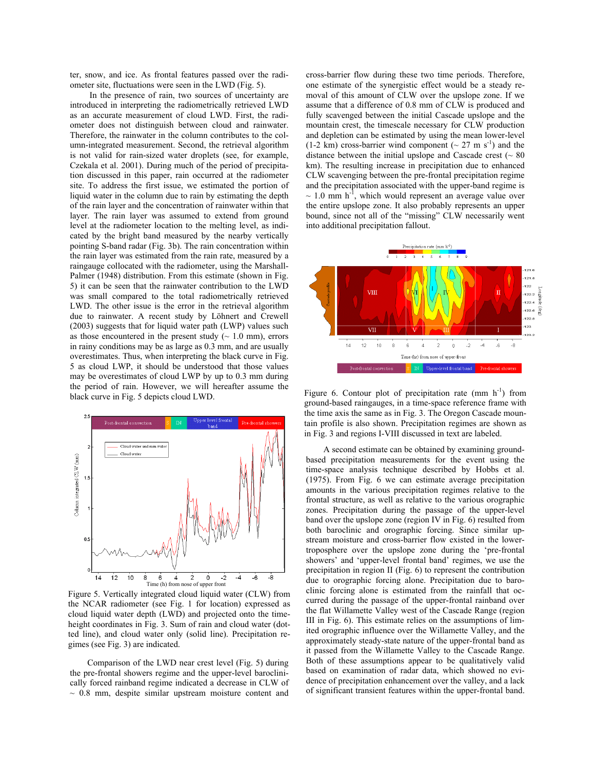ter, snow, and ice. As frontal features passed over the radiometer site, fluctuations were seen in the LWD (Fig. 5).

 In the presence of rain, two sources of uncertainty are introduced in interpreting the radiometrically retrieved LWD as an accurate measurement of cloud LWD. First, the radiometer does not distinguish between cloud and rainwater. Therefore, the rainwater in the column contributes to the column-integrated measurement. Second, the retrieval algorithm is not valid for rain-sized water droplets (see, for example, Czekala et al. 2001). During much of the period of precipitation discussed in this paper, rain occurred at the radiometer site. To address the first issue, we estimated the portion of liquid water in the column due to rain by estimating the depth of the rain layer and the concentration of rainwater within that layer. The rain layer was assumed to extend from ground level at the radiometer location to the melting level, as indicated by the bright band measured by the nearby vertically pointing S-band radar (Fig. 3b). The rain concentration within the rain layer was estimated from the rain rate, measured by a raingauge collocated with the radiometer, using the Marshall-Palmer (1948) distribution. From this estimate (shown in Fig. 5) it can be seen that the rainwater contribution to the LWD was small compared to the total radiometrically retrieved LWD. The other issue is the error in the retrieval algorithm due to rainwater. A recent study by Löhnert and Crewell (2003) suggests that for liquid water path (LWP) values such as those encountered in the present study  $($   $\sim$  1.0 mm), errors in rainy conditions may be as large as 0.3 mm, and are usually overestimates. Thus, when interpreting the black curve in Fig. 5 as cloud LWP, it should be understood that those values may be overestimates of cloud LWP by up to 0.3 mm during the period of rain. However, we will hereafter assume the black curve in Fig. 5 depicts cloud LWD.



Figure 5. Vertically integrated cloud liquid water (CLW) from the NCAR radiometer (see Fig. 1 for location) expressed as cloud liquid water depth (LWD) and projected onto the timeheight coordinates in Fig. 3. Sum of rain and cloud water (dotted line), and cloud water only (solid line). Precipitation regimes (see Fig. 3) are indicated.

 Comparison of the LWD near crest level (Fig. 5) during the pre-frontal showers regime and the upper-level baroclinically forced rainband regime indicated a decrease in CLW of  $\sim$  0.8 mm, despite similar upstream moisture content and

Í

cross-barrier flow during these two time periods. Therefore, one estimate of the synergistic effect would be a steady removal of this amount of CLW over the upslope zone. If we assume that a difference of 0.8 mm of CLW is produced and fully scavenged between the initial Cascade upslope and the mountain crest, the timescale necessary for CLW production and depletion can be estimated by using the mean lower-level (1-2 km) cross-barrier wind component ( $\sim$  27 m s<sup>-1</sup>) and the distance between the initial upslope and Cascade crest  $(~80)$ km). The resulting increase in precipitation due to enhanced CLW scavenging between the pre-frontal precipitation regime and the precipitation associated with the upper-band regime is  $\sim$  1.0 mm h<sup>-1</sup>, which would represent an average value over the entire upslope zone. It also probably represents an upper bound, since not all of the "missing" CLW necessarily went into additional precipitation fallout.



Figure 6. Contour plot of precipitation rate  $(nm h^{-1})$  from ground-based raingauges, in a time-space reference frame with the time axis the same as in Fig. 3. The Oregon Cascade mountain profile is also shown. Precipitation regimes are shown as in Fig. 3 and regions I-VIII discussed in text are labeled.

 A second estimate can be obtained by examining groundbased precipitation measurements for the event using the time-space analysis technique described by Hobbs et al. (1975). From Fig. 6 we can estimate average precipitation amounts in the various precipitation regimes relative to the frontal structure, as well as relative to the various orographic zones. Precipitation during the passage of the upper-level band over the upslope zone (region IV in Fig. 6) resulted from both baroclinic and orographic forcing. Since similar upstream moisture and cross-barrier flow existed in the lowertroposphere over the upslope zone during the 'pre-frontal showers' and 'upper-level frontal band' regimes, we use the precipitation in region II (Fig. 6) to represent the contribution due to orographic forcing alone. Precipitation due to baroclinic forcing alone is estimated from the rainfall that occurred during the passage of the upper-frontal rainband over the flat Willamette Valley west of the Cascade Range (region III in Fig. 6). This estimate relies on the assumptions of limited orographic influence over the Willamette Valley, and the approximately steady-state nature of the upper-frontal band as it passed from the Willamette Valley to the Cascade Range. Both of these assumptions appear to be qualitatively valid based on examination of radar data, which showed no evidence of precipitation enhancement over the valley, and a lack of significant transient features within the upper-frontal band.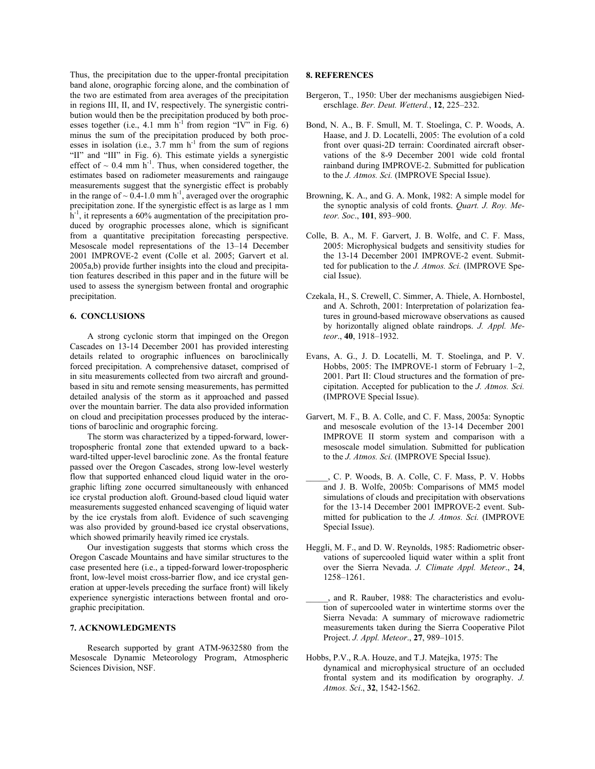Thus, the precipitation due to the upper-frontal precipitation band alone, orographic forcing alone, and the combination of the two are estimated from area averages of the precipitation in regions III, II, and IV, respectively. The synergistic contribution would then be the precipitation produced by both processes together (i.e., 4.1 mm  $h^{-1}$  from region "IV" in Fig. 6) minus the sum of the precipitation produced by both processes in isolation (i.e.,  $3.7 \text{ mm/h}^{-1}$  from the sum of regions "II" and "III" in Fig. 6). This estimate yields a synergistic effect of  $\sim 0.4$  mm  $h^{-1}$ . Thus, when considered together, the estimates based on radiometer measurements and raingauge measurements suggest that the synergistic effect is probably in the range of  $\sim 0.4$ -1.0 mm h<sup>-1</sup>, averaged over the orographic precipitation zone. If the synergistic effect is as large as 1 mm  $h^{-1}$ , it represents a 60% augmentation of the precipitation produced by orographic processes alone, which is significant from a quantitative precipitation forecasting perspective. Mesoscale model representations of the 13–14 December 2001 IMPROVE-2 event (Colle et al. 2005; Garvert et al. 2005a,b) provide further insights into the cloud and precipitation features described in this paper and in the future will be used to assess the synergism between frontal and orographic precipitation.

## **6. CONCLUSIONS**

 A strong cyclonic storm that impinged on the Oregon Cascades on 13-14 December 2001 has provided interesting details related to orographic influences on baroclinically forced precipitation. A comprehensive dataset, comprised of in situ measurements collected from two aircraft and groundbased in situ and remote sensing measurements, has permitted detailed analysis of the storm as it approached and passed over the mountain barrier. The data also provided information on cloud and precipitation processes produced by the interactions of baroclinic and orographic forcing.

 The storm was characterized by a tipped-forward, lowertropospheric frontal zone that extended upward to a backward-tilted upper-level baroclinic zone. As the frontal feature passed over the Oregon Cascades, strong low-level westerly flow that supported enhanced cloud liquid water in the orographic lifting zone occurred simultaneously with enhanced ice crystal production aloft. Ground-based cloud liquid water measurements suggested enhanced scavenging of liquid water by the ice crystals from aloft. Evidence of such scavenging was also provided by ground-based ice crystal observations, which showed primarily heavily rimed ice crystals.

 Our investigation suggests that storms which cross the Oregon Cascade Mountains and have similar structures to the case presented here (i.e., a tipped-forward lower-tropospheric front, low-level moist cross-barrier flow, and ice crystal generation at upper-levels preceding the surface front) will likely experience synergistic interactions between frontal and orographic precipitation.

#### **7. ACKNOWLEDGMENTS**

 Research supported by grant ATM-9632580 from the Mesoscale Dynamic Meteorology Program, Atmospheric Sciences Division, NSF.

## **8. REFERENCES**

- Bergeron, T., 1950: Uber der mechanisms ausgiebigen Niederschlage. *Ber. Deut. Wetterd.*, **12**, 225–232.
- Bond, N. A., B. F. Smull, M. T. Stoelinga, C. P. Woods, A. Haase, and J. D. Locatelli, 2005: The evolution of a cold front over quasi-2D terrain: Coordinated aircraft observations of the 8-9 December 2001 wide cold frontal rainband during IMPROVE-2. Submitted for publication to the *J. Atmos. Sci.* (IMPROVE Special Issue).
- Browning, K. A., and G. A. Monk, 1982: A simple model for the synoptic analysis of cold fronts. *Quart. J. Roy. Meteor. Soc*., **101**, 893–900.
- Colle, B. A., M. F. Garvert, J. B. Wolfe, and C. F. Mass, 2005: Microphysical budgets and sensitivity studies for the 13-14 December 2001 IMPROVE-2 event. Submitted for publication to the *J. Atmos. Sci.* (IMPROVE Special Issue).
- Czekala, H., S. Crewell, C. Simmer, A. Thiele, A. Hornbostel, and A. Schroth, 2001: Interpretation of polarization features in ground-based microwave observations as caused by horizontally aligned oblate raindrops. *J. Appl. Meteor*., **40**, 1918–1932.
- Evans, A. G., J. D. Locatelli, M. T. Stoelinga, and P. V. Hobbs, 2005: The IMPROVE-1 storm of February 1–2, 2001. Part II: Cloud structures and the formation of precipitation. Accepted for publication to the *J. Atmos. Sci.* (IMPROVE Special Issue).
- Garvert, M. F., B. A. Colle, and C. F. Mass, 2005a: Synoptic and mesoscale evolution of the 13-14 December 2001 IMPROVE II storm system and comparison with a mesoscale model simulation. Submitted for publication to the *J. Atmos. Sci.* (IMPROVE Special Issue).
- \_\_\_\_\_, C. P. Woods, B. A. Colle, C. F. Mass, P. V. Hobbs and J. B. Wolfe, 2005b: Comparisons of MM5 model simulations of clouds and precipitation with observations for the 13-14 December 2001 IMPROVE-2 event. Submitted for publication to the *J. Atmos. Sci.* (IMPROVE Special Issue).
- Heggli, M. F., and D. W. Reynolds, 1985: Radiometric observations of supercooled liquid water within a split front over the Sierra Nevada. *J. Climate Appl. Meteor*., **24**, 1258–1261.
- \_\_\_\_\_, and R. Rauber, 1988: The characteristics and evolution of supercooled water in wintertime storms over the Sierra Nevada: A summary of microwave radiometric measurements taken during the Sierra Cooperative Pilot Project. *J. Appl. Meteor*., **27**, 989–1015.
- Hobbs, P.V., R.A. Houze, and T.J. Matejka, 1975: The dynamical and microphysical structure of an occluded frontal system and its modification by orography. *J. Atmos. Sci*., **32**, 1542-1562.